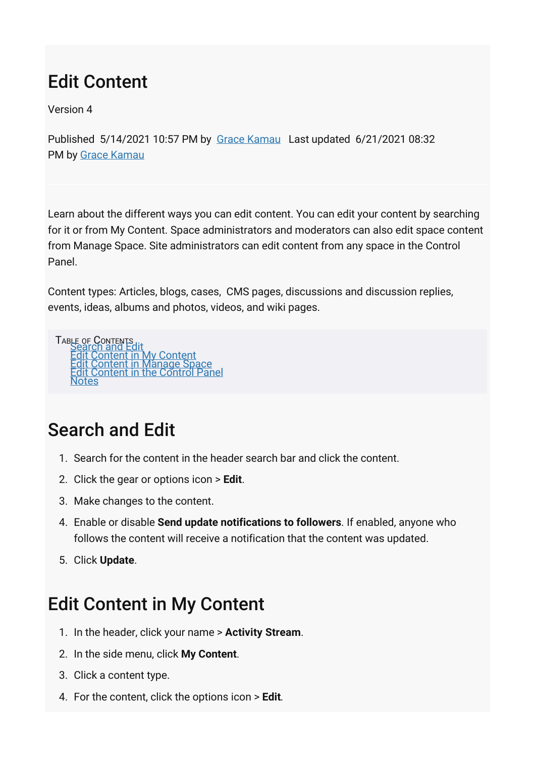# Edit Content

Version 4

Published 5/14/2021 10:57 PM by [Grace Kamau](https://my.axerosolutions.com/people/gskamau) Last updated 6/21/2021 08:32 PM by [Grace Kamau](https://my.axerosolutions.com/people/gskamau)

Learn about the different ways you can edit content. You can edit your content by searching for it or from My Content. Space administrators and moderators can also edit space content from Manage Space. Site administrators can edit content from any space in the Control Panel.

Content types: Articles, blogs, cases, CMS pages, discussions and discussion replies, events, ideas, albums and photos, videos, and wiki pages.



### <span id="page-0-0"></span>Search and Edit

- 1. Search for the content in the header search bar and click the content.
- 2. Click the gear or options icon > **Edit**.
- 3. Make changes to the content.
- 4. Enable or disable **Send update notifications to followers**. If enabled, anyone who follows the content will receive a notification that the content was updated.
- <span id="page-0-1"></span>5. Click **Update**.

## Edit Content in My Content

- 1. In the header, click your name > **Activity Stream**.
- 2. In the side menu, click **My Content**.
- 3. Click a content type.
- 4. For the content, click the options icon > **Edit**.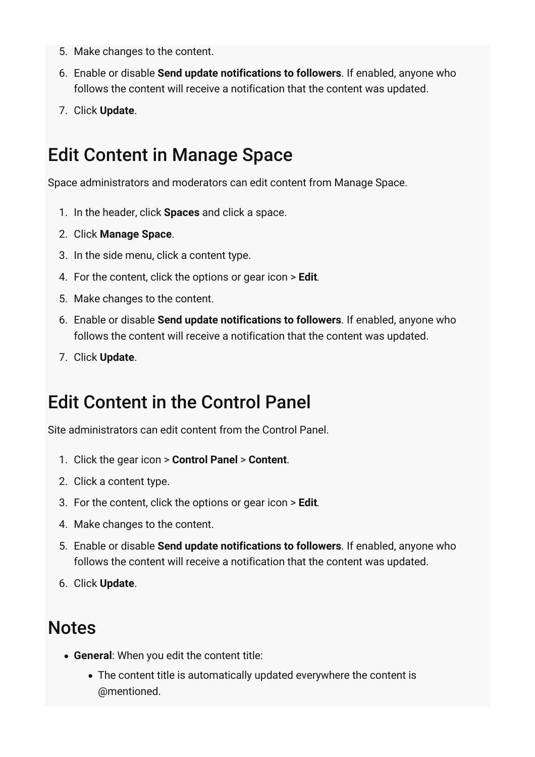- 5. Make changes to the content.
- 6. Enable or disable **Send update notifications to followers**. If enabled, anyone who follows the content will receive a notification that the content was updated.
- <span id="page-1-0"></span>7. Click **Update**.

### Edit Content in Manage Space

Space administrators and moderators can edit content from Manage Space.

- 1. In the header, click **Spaces** and click a space.
- 2. Click **Manage Space**.
- 3. In the side menu, click a content type.
- 4. For the content, click the options or gear icon > **Edit**.
- 5. Make changes to the content.
- 6. Enable or disable **Send update notifications to followers**. If enabled, anyone who follows the content will receive a notification that the content was updated.
- <span id="page-1-1"></span>7. Click **Update**.

### Edit Content in the Control Panel

Site administrators can edit content from the Control Panel.

- 1. Click the gear icon > **Control Panel** > **Content**.
- 2. Click a content type.
- 3. For the content, click the options or gear icon > **Edit**.
- 4. Make changes to the content.
- 5. Enable or disable **Send update notifications to followers**. If enabled, anyone who follows the content will receive a notification that the content was updated.
- <span id="page-1-2"></span>6. Click **Update**.

#### **Notes**

- **General**: When you edit the content title:
	- The content title is automatically updated everywhere the content is @mentioned.